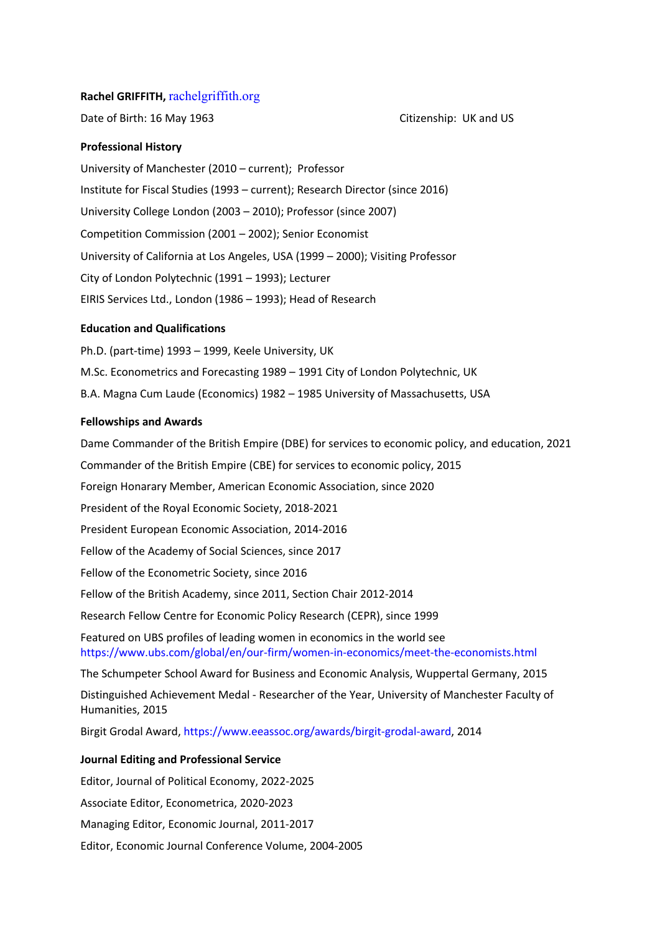## **Rachel GRIFFITH,** rachelgriffith.org

Date of Birth: 16 May 1963 Channel Base Citizenship: UK and US

## **Professional History**

University of Manchester (2010 – current); Professor Institute for Fiscal Studies (1993 – current); Research Director (since 2016) University College London (2003 – 2010); Professor (since 2007) Competition Commission (2001 – 2002); Senior Economist University of California at Los Angeles, USA (1999 – 2000); Visiting Professor City of London Polytechnic (1991 – 1993); Lecturer EIRIS Services Ltd., London (1986 – 1993); Head of Research

### **Education and Qualifications**

Ph.D. (part-time) 1993 – 1999, Keele University, UK M.Sc. Econometrics and Forecasting 1989 – 1991 City of London Polytechnic, UK B.A. Magna Cum Laude (Economics) 1982 – 1985 University of Massachusetts, USA

#### **Fellowships and Awards**

Dame Commander of the British Empire (DBE) for services to economic policy, and education, 2021 Commander of the British Empire (CBE) for services to economic policy, 2015 Foreign Honarary Member, American Economic Association, since 2020 President of the Royal Economic Society, 2018-2021 President European Economic Association, 2014-2016 Fellow of the Academy of Social Sciences, since 2017 Fellow of the Econometric Society, since 2016 Fellow of the British Academy, since 2011, Section Chair 2012-2014 Research Fellow Centre for Economic Policy Research (CEPR), since 1999 Featured on UBS profiles of leading women in economics in the world see https://www.ubs.com/global/en/our-firm/women-in-economics/meet-the-economists.html The Schumpeter School Award for Business and Economic Analysis, Wuppertal Germany, 2015 Distinguished Achievement Medal - Researcher of the Year, University of Manchester Faculty of Humanities, 2015 Birgit Grodal Award, https://www.eeassoc.org/awards/birgit-grodal-award, 2014 **Journal Editing and Professional Service**

Editor, Journal of Political Economy, 2022-2025

Associate Editor, Econometrica, 2020-2023

Managing Editor, Economic Journal, 2011-2017

Editor, Economic Journal Conference Volume, 2004-2005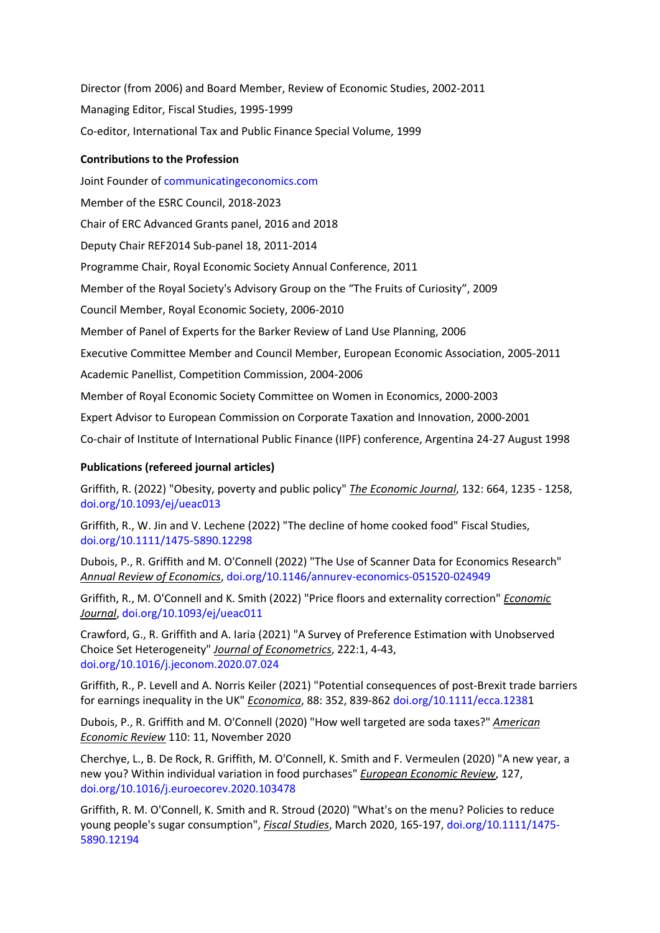Director (from 2006) and Board Member, Review of Economic Studies, 2002-2011 Managing Editor, Fiscal Studies, 1995-1999 Co-editor, International Tax and Public Finance Special Volume, 1999

# **Contributions to the Profession**

Joint Founder of communicatingeconomics.com Member of the ESRC Council, 2018-2023 Chair of ERC Advanced Grants panel, 2016 and 2018 Deputy Chair REF2014 Sub-panel 18, 2011-2014 Programme Chair, Royal Economic Society Annual Conference, 2011 Member of the Royal Society's Advisory Group on the "The Fruits of Curiosity", 2009 Council Member, Royal Economic Society, 2006-2010 Member of Panel of Experts for the Barker Review of Land Use Planning, 2006 Executive Committee Member and Council Member, European Economic Association, 2005-2011 Academic Panellist, Competition Commission, 2004-2006 Member of Royal Economic Society Committee on Women in Economics, 2000-2003 Expert Advisor to European Commission on Corporate Taxation and Innovation, 2000-2001 Co-chair of Institute of International Public Finance (IIPF) conference, Argentina 24-27 August 1998

# **Publications (refereed journal articles)**

Griffith, R. (2022) "Obesity, poverty and public policy" *The Economic Journal*, 132: 664, 1235 - 1258, doi.org/10.1093/ej/ueac013

Griffith, R., W. Jin and V. Lechene (2022) "The decline of home cooked food" Fiscal Studies, doi.org/10.1111/1475-5890.12298

Dubois, P., R. Griffith and M. O'Connell (2022) "The Use of Scanner Data for Economics Research" *Annual Review of Economics*, doi.org/10.1146/annurev-economics-051520-024949

Griffith, R., M. O'Connell and K. Smith (2022) "Price floors and externality correction" *Economic Journal*, doi.org/10.1093/ej/ueac011

Crawford, G., R. Griffith and A. Iaria (2021) "A Survey of Preference Estimation with Unobserved Choice Set Heterogeneity" *Journal of Econometrics*, 222:1, 4-43, doi.org/10.1016/j.jeconom.2020.07.024

Griffith, R., P. Levell and A. Norris Keiler (2021) "Potential consequences of post-Brexit trade barriers for earnings inequality in the UK" *Economica*, 88: 352, 839-862 doi.org/10.1111/ecca.12381

Dubois, P., R. Griffith and M. O'Connell (2020) "How well targeted are soda taxes?" *American Economic Review* 110: 11, November 2020

Cherchye, L., B. De Rock, R. Griffith, M. O'Connell, K. Smith and F. Vermeulen (2020) "A new year, a new you? Within individual variation in food purchases" *European Economic Review*, 127, doi.org/10.1016/j.euroecorev.2020.103478

Griffith, R. M. O'Connell, K. Smith and R. Stroud (2020) "What's on the menu? Policies to reduce young people's sugar consumption", *Fiscal Studies*, March 2020, 165-197, doi.org/10.1111/1475- 5890.12194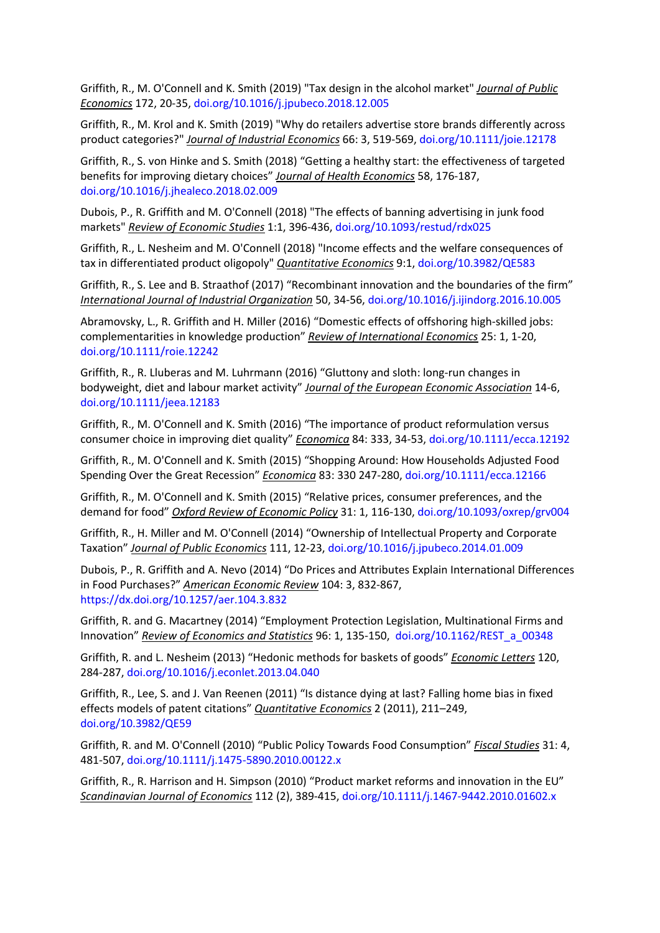Griffith, R., M. O'Connell and K. Smith (2019) "Tax design in the alcohol market" *Journal of Public Economics* 172, 20-35, doi.org/10.1016/j.jpubeco.2018.12.005

Griffith, R., M. Krol and K. Smith (2019) "Why do retailers advertise store brands differently across product categories?" *Journal of Industrial Economics* 66: 3, 519-569, doi.org/10.1111/joie.12178

Griffith, R., S. von Hinke and S. Smith (2018) "Getting a healthy start: the effectiveness of targeted benefits for improving dietary choices" *Journal of Health Economics* 58, 176-187, doi.org/10.1016/j.jhealeco.2018.02.009

Dubois, P., R. Griffith and M. O'Connell (2018) "The effects of banning advertising in junk food markets" *Review of Economic Studies* 1:1, 396-436, doi.org/10.1093/restud/rdx025

Griffith, R., L. Nesheim and M. O'Connell (2018) "Income effects and the welfare consequences of tax in differentiated product oligopoly" *Quantitative Economics* 9:1, doi.org/10.3982/QE583

Griffith, R., S. Lee and B. Straathof (2017) "Recombinant innovation and the boundaries of the firm" *International Journal of Industrial Organization* 50, 34-56, doi.org/10.1016/j.ijindorg.2016.10.005

Abramovsky, L., R. Griffith and H. Miller (2016) "Domestic effects of offshoring high-skilled jobs: complementarities in knowledge production" *Review of International Economics* 25: 1, 1-20, doi.org/10.1111/roie.12242

Griffith, R., R. Lluberas and M. Luhrmann (2016) "Gluttony and sloth: long-run changes in bodyweight, diet and labour market activity" *Journal of the European Economic Association* 14-6, doi.org/10.1111/jeea.12183

Griffith, R., M. O'Connell and K. Smith (2016) "The importance of product reformulation versus consumer choice in improving diet quality" *Economica* 84: 333, 34-53, doi.org/10.1111/ecca.12192

Griffith, R., M. O'Connell and K. Smith (2015) "Shopping Around: How Households Adjusted Food Spending Over the Great Recession" *Economica* 83: 330 247-280, doi.org/10.1111/ecca.12166

Griffith, R., M. O'Connell and K. Smith (2015) "Relative prices, consumer preferences, and the demand for food" *Oxford Review of Economic Policy* 31: 1, 116-130, doi.org/10.1093/oxrep/grv004

Griffith, R., H. Miller and M. O'Connell (2014) "Ownership of Intellectual Property and Corporate Taxation" *Journal of Public Economics* 111, 12-23, doi.org/10.1016/j.jpubeco.2014.01.009

Dubois, P., R. Griffith and A. Nevo (2014) "Do Prices and Attributes Explain International Differences in Food Purchases?" *American Economic Review* 104: 3, 832-867, https://dx.doi.org/10.1257/aer.104.3.832

Griffith, R. and G. Macartney (2014) "Employment Protection Legislation, Multinational Firms and Innovation" *Review of Economics and Statistics* 96: 1, 135-150, doi.org/10.1162/REST\_a\_00348

Griffith, R. and L. Nesheim (2013) "Hedonic methods for baskets of goods" *Economic Letters* 120, 284-287, doi.org/10.1016/j.econlet.2013.04.040

Griffith, R., Lee, S. and J. Van Reenen (2011) "Is distance dying at last? Falling home bias in fixed effects models of patent citations" *Quantitative Economics* 2 (2011), 211–249, doi.org/10.3982/QE59

Griffith, R. and M. O'Connell (2010) "Public Policy Towards Food Consumption" *Fiscal Studies* 31: 4, 481-507, doi.org/10.1111/j.1475-5890.2010.00122.x

Griffith, R., R. Harrison and H. Simpson (2010) "Product market reforms and innovation in the EU" *Scandinavian Journal of Economics* 112 (2), 389-415, doi.org/10.1111/j.1467-9442.2010.01602.x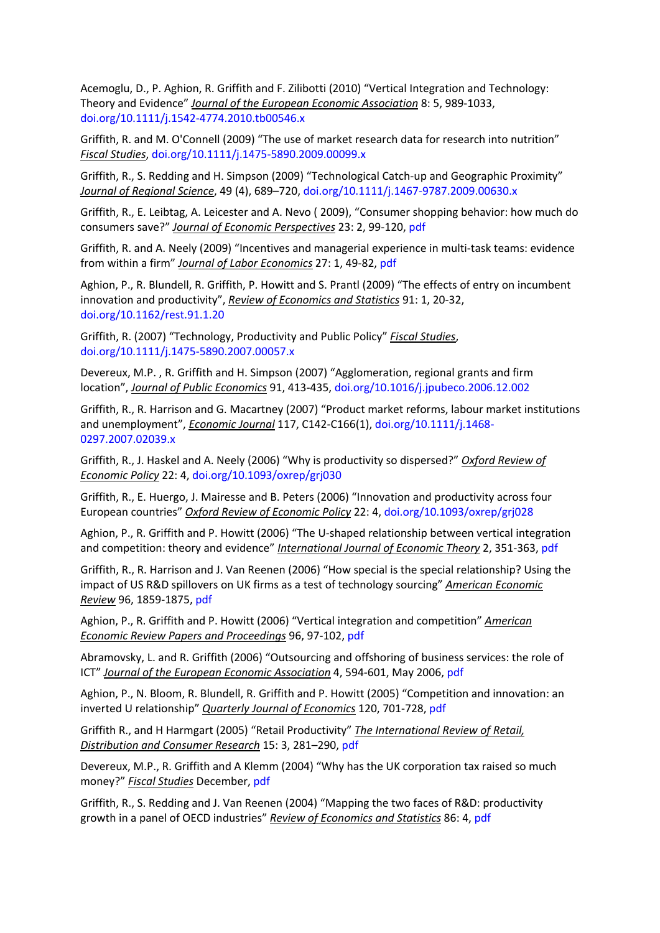Acemoglu, D., P. Aghion, R. Griffith and F. Zilibotti (2010) "Vertical Integration and Technology: Theory and Evidence" *Journal of the European Economic Association* 8: 5, 989-1033, doi.org/10.1111/j.1542-4774.2010.tb00546.x

Griffith, R. and M. O'Connell (2009) "The use of market research data for research into nutrition" *Fiscal Studies*, doi.org/10.1111/j.1475-5890.2009.00099.x

Griffith, R., S. Redding and H. Simpson (2009) "Technological Catch-up and Geographic Proximity" *Journal of Regional Science*, 49 (4), 689–720, doi.org/10.1111/j.1467-9787.2009.00630.x

Griffith, R., E. Leibtag, A. Leicester and A. Nevo ( 2009), "Consumer shopping behavior: how much do consumers save?" *Journal of Economic Perspectives* 23: 2, 99-120, pdf

Griffith, R. and A. Neely (2009) "Incentives and managerial experience in multi-task teams: evidence from within a firm" *Journal of Labor Economics* 27: 1, 49-82, pdf

Aghion, P., R. Blundell, R. Griffith, P. Howitt and S. Prantl (2009) "The effects of entry on incumbent innovation and productivity", *Review of Economics and Statistics* 91: 1, 20-32, doi.org/10.1162/rest.91.1.20

Griffith, R. (2007) "Technology, Productivity and Public Policy" *Fiscal Studies*, doi.org/10.1111/j.1475-5890.2007.00057.x

Devereux, M.P. , R. Griffith and H. Simpson (2007) "Agglomeration, regional grants and firm location", *Journal of Public Economics* 91, 413-435, doi.org/10.1016/j.jpubeco.2006.12.002

Griffith, R., R. Harrison and G. Macartney (2007) "Product market reforms, labour market institutions and unemployment", *Economic Journal* 117, C142-C166(1), doi.org/10.1111/j.1468- 0297.2007.02039.x

Griffith, R., J. Haskel and A. Neely (2006) "Why is productivity so dispersed?" *Oxford Review of Economic Policy* 22: 4, doi.org/10.1093/oxrep/grj030

Griffith, R., E. Huergo, J. Mairesse and B. Peters (2006) "Innovation and productivity across four European countries" *Oxford Review of Economic Policy* 22: 4, doi.org/10.1093/oxrep/grj028

Aghion, P., R. Griffith and P. Howitt (2006) "The U-shaped relationship between vertical integration and competition: theory and evidence" *International Journal of Economic Theory* 2, 351-363, pdf

Griffith, R., R. Harrison and J. Van Reenen (2006) "How special is the special relationship? Using the impact of US R&D spillovers on UK firms as a test of technology sourcing" *American Economic Review* 96, 1859-1875, pdf

Aghion, P., R. Griffith and P. Howitt (2006) "Vertical integration and competition" *American Economic Review Papers and Proceedings* 96, 97-102, pdf

Abramovsky, L. and R. Griffith (2006) "Outsourcing and offshoring of business services: the role of ICT" *Journal of the European Economic Association* 4, 594-601, May 2006, pdf

Aghion, P., N. Bloom, R. Blundell, R. Griffith and P. Howitt (2005) "Competition and innovation: an inverted U relationship" *Quarterly Journal of Economics* 120, 701-728, pdf

Griffith R., and H Harmgart (2005) "Retail Productivity" *The International Review of Retail, Distribution and Consumer Research* 15: 3, 281–290, pdf

Devereux, M.P., R. Griffith and A Klemm (2004) "Why has the UK corporation tax raised so much money?" *Fiscal Studies* December, pdf

Griffith, R., S. Redding and J. Van Reenen (2004) "Mapping the two faces of R&D: productivity growth in a panel of OECD industries" *Review of Economics and Statistics* 86: 4, pdf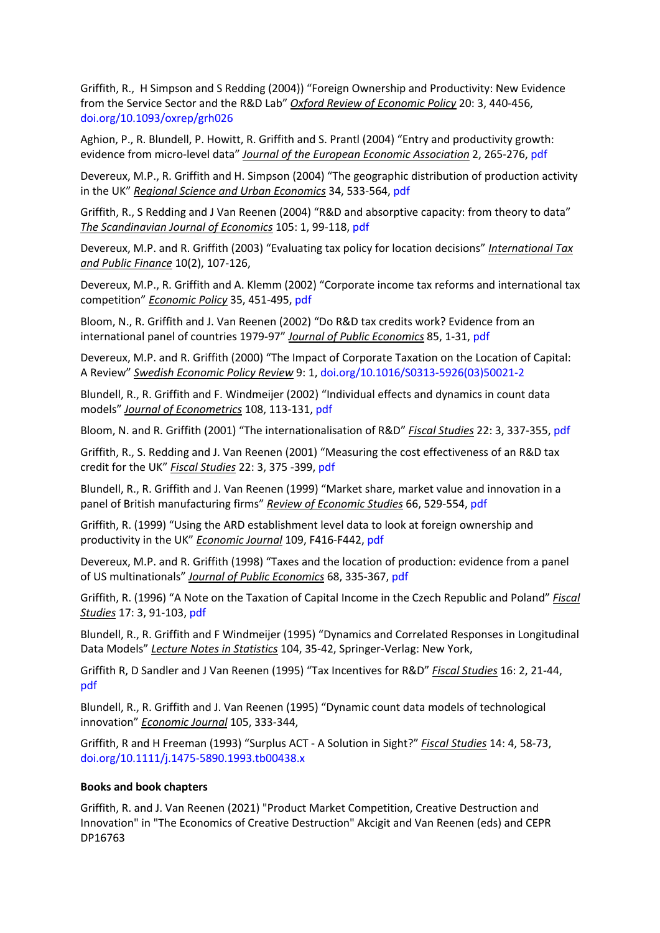Griffith, R., H Simpson and S Redding (2004)) "Foreign Ownership and Productivity: New Evidence from the Service Sector and the R&D Lab" *Oxford Review of Economic Policy* 20: 3, 440-456, doi.org/10.1093/oxrep/grh026

Aghion, P., R. Blundell, P. Howitt, R. Griffith and S. Prantl (2004) "Entry and productivity growth: evidence from micro-level data" *Journal of the European Economic Association* 2, 265-276, pdf

Devereux, M.P., R. Griffith and H. Simpson (2004) "The geographic distribution of production activity in the UK" *Regional Science and Urban Economics* 34, 533-564, pdf

Griffith, R., S Redding and J Van Reenen (2004) "R&D and absorptive capacity: from theory to data" *The Scandinavian Journal of Economics* 105: 1, 99-118, pdf

Devereux, M.P. and R. Griffith (2003) "Evaluating tax policy for location decisions" *International Tax and Public Finance* 10(2), 107-126,

Devereux, M.P., R. Griffith and A. Klemm (2002) "Corporate income tax reforms and international tax competition" *Economic Policy* 35, 451-495, pdf

Bloom, N., R. Griffith and J. Van Reenen (2002) "Do R&D tax credits work? Evidence from an international panel of countries 1979-97" *Journal of Public Economics* 85, 1-31, pdf

Devereux, M.P. and R. Griffith (2000) "The Impact of Corporate Taxation on the Location of Capital: A Review" *Swedish Economic Policy Review* 9: 1, doi.org/10.1016/S0313-5926(03)50021-2

Blundell, R., R. Griffith and F. Windmeijer (2002) "Individual effects and dynamics in count data models" *Journal of Econometrics* 108, 113-131, pdf

Bloom, N. and R. Griffith (2001) "The internationalisation of R&D" *Fiscal Studies* 22: 3, 337-355, pdf

Griffith, R., S. Redding and J. Van Reenen (2001) "Measuring the cost effectiveness of an R&D tax credit for the UK" *Fiscal Studies* 22: 3, 375 -399, pdf

Blundell, R., R. Griffith and J. Van Reenen (1999) "Market share, market value and innovation in a panel of British manufacturing firms" *Review of Economic Studies* 66, 529-554, pdf

Griffith, R. (1999) "Using the ARD establishment level data to look at foreign ownership and productivity in the UK" *Economic Journal* 109, F416-F442, pdf

Devereux, M.P. and R. Griffith (1998) "Taxes and the location of production: evidence from a panel of US multinationals" *Journal of Public Economics* 68, 335-367, pdf

Griffith, R. (1996) "A Note on the Taxation of Capital Income in the Czech Republic and Poland" *Fiscal Studies* 17: 3, 91-103, pdf

Blundell, R., R. Griffith and F Windmeijer (1995) "Dynamics and Correlated Responses in Longitudinal Data Models" *Lecture Notes in Statistics* 104, 35-42, Springer-Verlag: New York,

Griffith R, D Sandler and J Van Reenen (1995) "Tax Incentives for R&D" *Fiscal Studies* 16: 2, 21-44, pdf

Blundell, R., R. Griffith and J. Van Reenen (1995) "Dynamic count data models of technological innovation" *Economic Journal* 105, 333-344,

Griffith, R and H Freeman (1993) "Surplus ACT - A Solution in Sight?" *Fiscal Studies* 14: 4, 58-73, doi.org/10.1111/j.1475-5890.1993.tb00438.x

## **Books and book chapters**

Griffith, R. and J. Van Reenen (2021) "Product Market Competition, Creative Destruction and Innovation" in "The Economics of Creative Destruction" Akcigit and Van Reenen (eds) and CEPR DP16763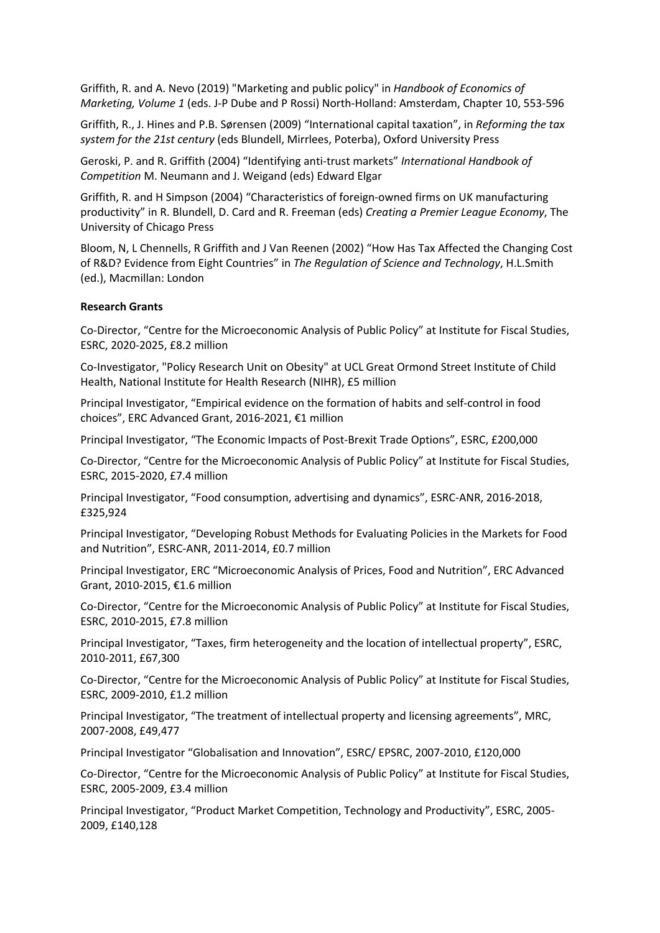Griffith, R. and A. Nevo (2019) "Marketing and public policy" in *Handbook of Economics of Marketing, Volume 1* (eds. J-P Dube and P Rossi) North-Holland: Amsterdam, Chapter 10, 553-596

Griffith, R., J. Hines and P.B. Sørensen (2009) "International capital taxation", in *Reforming the tax system for the 21st century* (eds Blundell, Mirrlees, Poterba), Oxford University Press

Geroski, P. and R. Griffith (2004) "Identifying anti-trust markets" *International Handbook of Competition* M. Neumann and J. Weigand (eds) Edward Elgar

Griffith, R. and H Simpson (2004) "Characteristics of foreign-owned firms on UK manufacturing productivity" in R. Blundell, D. Card and R. Freeman (eds) *Creating a Premier League Economy*, The University of Chicago Press

Bloom, N, L Chennells, R Griffith and J Van Reenen (2002) "How Has Tax Affected the Changing Cost of R&D? Evidence from Eight Countries" in *The Regulation of Science and Technology*, H.L.Smith (ed.), Macmillan: London

## **Research Grants**

Co-Director, "Centre for the Microeconomic Analysis of Public Policy" at Institute for Fiscal Studies, ESRC, 2020-2025, £8.2 million

Co-Investigator, "Policy Research Unit on Obesity" at UCL Great Ormond Street Institute of Child Health, National Institute for Health Research (NIHR), £5 million

Principal Investigator, "Empirical evidence on the formation of habits and self-control in food choices", ERC Advanced Grant, 2016-2021, €1 million

Principal Investigator, "The Economic Impacts of Post-Brexit Trade Options", ESRC, £200,000

Co-Director, "Centre for the Microeconomic Analysis of Public Policy" at Institute for Fiscal Studies, ESRC, 2015-2020, £7.4 million

Principal Investigator, "Food consumption, advertising and dynamics", ESRC-ANR, 2016-2018, £325,924

Principal Investigator, "Developing Robust Methods for Evaluating Policies in the Markets for Food and Nutrition", ESRC-ANR, 2011-2014, £0.7 million

Principal Investigator, ERC "Microeconomic Analysis of Prices, Food and Nutrition", ERC Advanced Grant, 2010-2015, €1.6 million

Co-Director, "Centre for the Microeconomic Analysis of Public Policy" at Institute for Fiscal Studies, ESRC, 2010-2015, £7.8 million

Principal Investigator, "Taxes, firm heterogeneity and the location of intellectual property", ESRC, 2010-2011, £67,300

Co-Director, "Centre for the Microeconomic Analysis of Public Policy" at Institute for Fiscal Studies, ESRC, 2009-2010, £1.2 million

Principal Investigator, "The treatment of intellectual property and licensing agreements", MRC, 2007-2008, £49,477

Principal Investigator "Globalisation and Innovation", ESRC/ EPSRC, 2007-2010, £120,000

Co-Director, "Centre for the Microeconomic Analysis of Public Policy" at Institute for Fiscal Studies, ESRC, 2005-2009, £3.4 million

Principal Investigator, "Product Market Competition, Technology and Productivity", ESRC, 2005- 2009, £140,128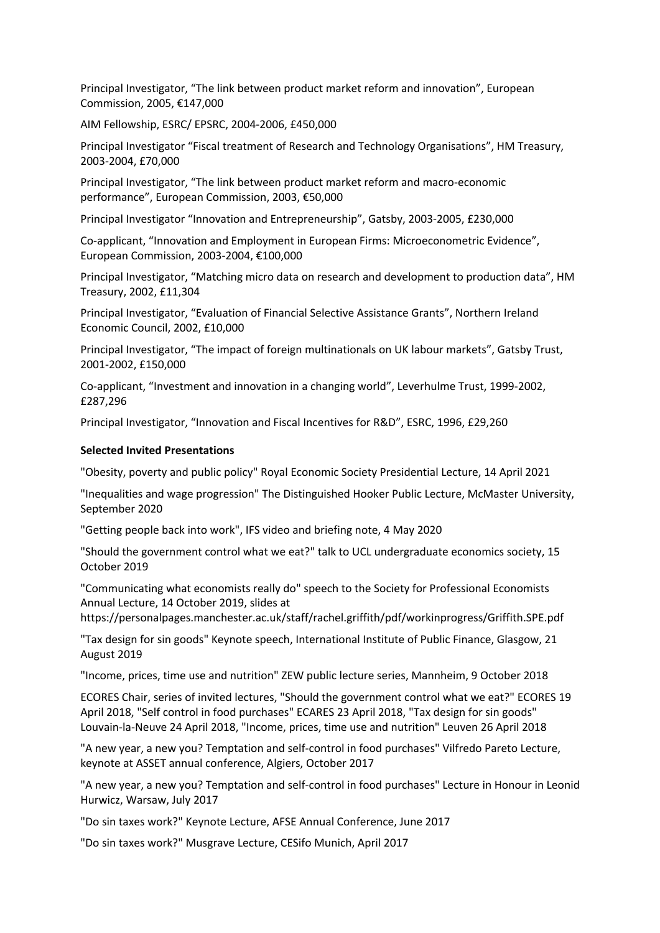Principal Investigator, "The link between product market reform and innovation", European Commission, 2005, €147,000

AIM Fellowship, ESRC/ EPSRC, 2004-2006, £450,000

Principal Investigator "Fiscal treatment of Research and Technology Organisations", HM Treasury, 2003-2004, £70,000

Principal Investigator, "The link between product market reform and macro-economic performance", European Commission, 2003, €50,000

Principal Investigator "Innovation and Entrepreneurship", Gatsby, 2003-2005, £230,000

Co-applicant, "Innovation and Employment in European Firms: Microeconometric Evidence", European Commission, 2003-2004, €100,000

Principal Investigator, "Matching micro data on research and development to production data", HM Treasury, 2002, £11,304

Principal Investigator, "Evaluation of Financial Selective Assistance Grants", Northern Ireland Economic Council, 2002, £10,000

Principal Investigator, "The impact of foreign multinationals on UK labour markets", Gatsby Trust, 2001-2002, £150,000

Co-applicant, "Investment and innovation in a changing world", Leverhulme Trust, 1999-2002, £287,296

Principal Investigator, "Innovation and Fiscal Incentives for R&D", ESRC, 1996, £29,260

### **Selected Invited Presentations**

"Obesity, poverty and public policy" Royal Economic Society Presidential Lecture, 14 April 2021

"Inequalities and wage progression" The Distinguished Hooker Public Lecture, McMaster University, September 2020

"Getting people back into work", IFS video and briefing note, 4 May 2020

"Should the government control what we eat?" talk to UCL undergraduate economics society, 15 October 2019

"Communicating what economists really do" speech to the Society for Professional Economists Annual Lecture, 14 October 2019, slides at

https://personalpages.manchester.ac.uk/staff/rachel.griffith/pdf/workinprogress/Griffith.SPE.pdf

"Tax design for sin goods" Keynote speech, International Institute of Public Finance, Glasgow, 21 August 2019

"Income, prices, time use and nutrition" ZEW public lecture series, Mannheim, 9 October 2018

ECORES Chair, series of invited lectures, "Should the government control what we eat?" ECORES 19 April 2018, "Self control in food purchases" ECARES 23 April 2018, "Tax design for sin goods" Louvain-la-Neuve 24 April 2018, "Income, prices, time use and nutrition" Leuven 26 April 2018

"A new year, a new you? Temptation and self-control in food purchases" Vilfredo Pareto Lecture, keynote at ASSET annual conference, Algiers, October 2017

"A new year, a new you? Temptation and self-control in food purchases" Lecture in Honour in Leonid Hurwicz, Warsaw, July 2017

"Do sin taxes work?" Keynote Lecture, AFSE Annual Conference, June 2017

"Do sin taxes work?" Musgrave Lecture, CESifo Munich, April 2017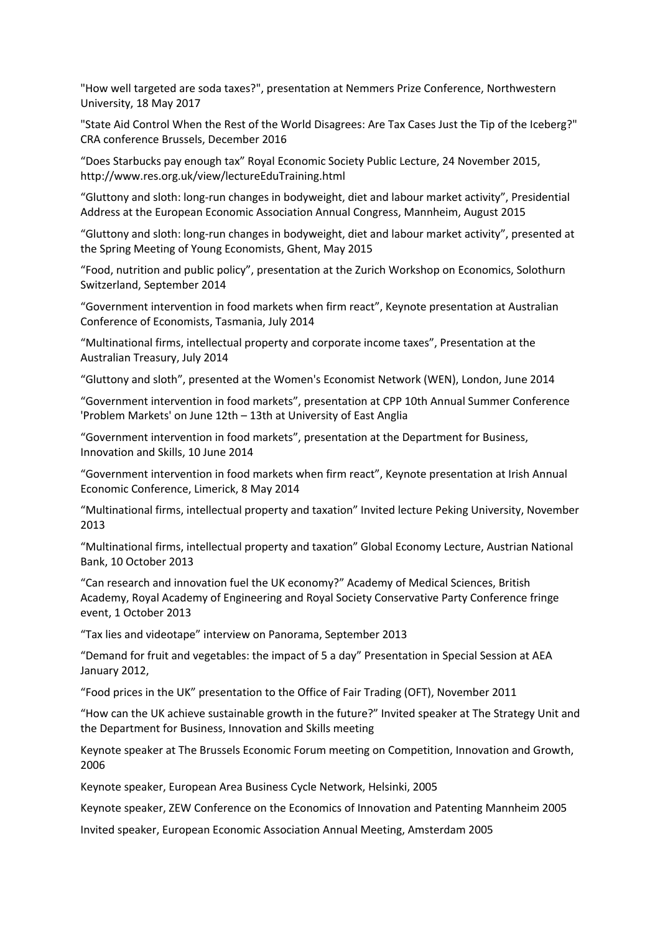"How well targeted are soda taxes?", presentation at Nemmers Prize Conference, Northwestern University, 18 May 2017

"State Aid Control When the Rest of the World Disagrees: Are Tax Cases Just the Tip of the Iceberg?" CRA conference Brussels, December 2016

"Does Starbucks pay enough tax" Royal Economic Society Public Lecture, 24 November 2015, http://www.res.org.uk/view/lectureEduTraining.html

"Gluttony and sloth: long-run changes in bodyweight, diet and labour market activity", Presidential Address at the European Economic Association Annual Congress, Mannheim, August 2015

"Gluttony and sloth: long-run changes in bodyweight, diet and labour market activity", presented at the Spring Meeting of Young Economists, Ghent, May 2015

"Food, nutrition and public policy", presentation at the Zurich Workshop on Economics, Solothurn Switzerland, September 2014

"Government intervention in food markets when firm react", Keynote presentation at Australian Conference of Economists, Tasmania, July 2014

"Multinational firms, intellectual property and corporate income taxes", Presentation at the Australian Treasury, July 2014

"Gluttony and sloth", presented at the Women's Economist Network (WEN), London, June 2014

"Government intervention in food markets", presentation at CPP 10th Annual Summer Conference 'Problem Markets' on June 12th – 13th at University of East Anglia

"Government intervention in food markets", presentation at the Department for Business, Innovation and Skills, 10 June 2014

"Government intervention in food markets when firm react", Keynote presentation at Irish Annual Economic Conference, Limerick, 8 May 2014

"Multinational firms, intellectual property and taxation" Invited lecture Peking University, November 2013

"Multinational firms, intellectual property and taxation" Global Economy Lecture, Austrian National Bank, 10 October 2013

"Can research and innovation fuel the UK economy?" Academy of Medical Sciences, British Academy, Royal Academy of Engineering and Royal Society Conservative Party Conference fringe event, 1 October 2013

"Tax lies and videotape" interview on Panorama, September 2013

"Demand for fruit and vegetables: the impact of 5 a day" Presentation in Special Session at AEA January 2012,

"Food prices in the UK" presentation to the Office of Fair Trading (OFT), November 2011

"How can the UK achieve sustainable growth in the future?" Invited speaker at The Strategy Unit and the Department for Business, Innovation and Skills meeting

Keynote speaker at The Brussels Economic Forum meeting on Competition, Innovation and Growth, 2006

Keynote speaker, European Area Business Cycle Network, Helsinki, 2005

Keynote speaker, ZEW Conference on the Economics of Innovation and Patenting Mannheim 2005

Invited speaker, European Economic Association Annual Meeting, Amsterdam 2005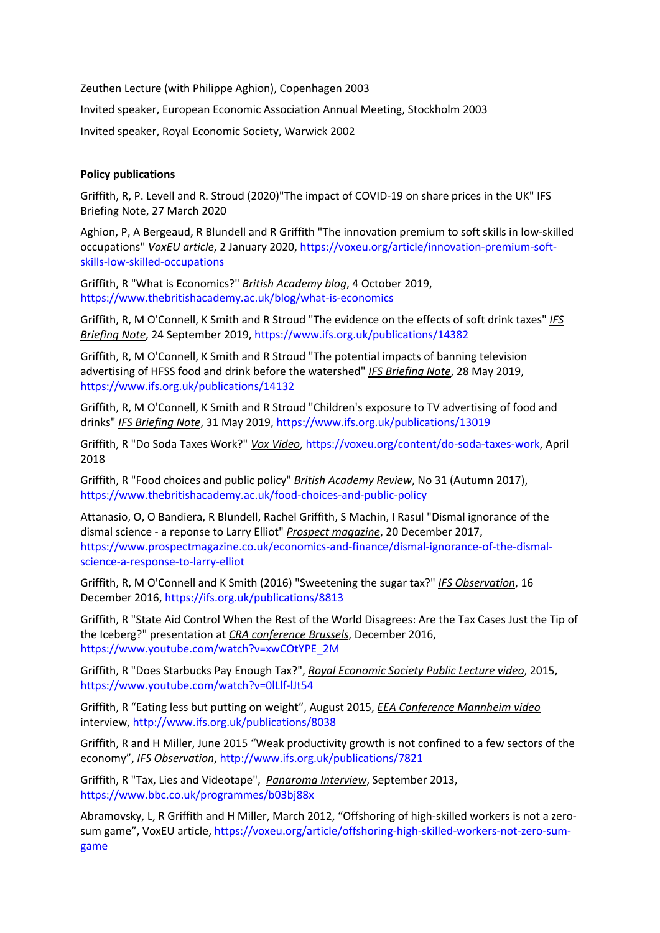Zeuthen Lecture (with Philippe Aghion), Copenhagen 2003

Invited speaker, European Economic Association Annual Meeting, Stockholm 2003

Invited speaker, Royal Economic Society, Warwick 2002

# **Policy publications**

Griffith, R, P. Levell and R. Stroud (2020)"The impact of COVID-19 on share prices in the UK" IFS Briefing Note, 27 March 2020

Aghion, P, A Bergeaud, R Blundell and R Griffith "The innovation premium to soft skills in low-skilled occupations" *VoxEU article*, 2 January 2020, https://voxeu.org/article/innovation-premium-softskills-low-skilled-occupations

Griffith, R "What is Economics?" *British Academy blog*, 4 October 2019, https://www.thebritishacademy.ac.uk/blog/what-is-economics

Griffith, R, M O'Connell, K Smith and R Stroud "The evidence on the effects of soft drink taxes" *IFS Briefing Note*, 24 September 2019, https://www.ifs.org.uk/publications/14382

Griffith, R, M O'Connell, K Smith and R Stroud "The potential impacts of banning television advertising of HFSS food and drink before the watershed" *IFS Briefing Note*, 28 May 2019, https://www.ifs.org.uk/publications/14132

Griffith, R, M O'Connell, K Smith and R Stroud "Children's exposure to TV advertising of food and drinks" *IFS Briefing Note*, 31 May 2019, https://www.ifs.org.uk/publications/13019

Griffith, R "Do Soda Taxes Work?" *Vox Video*, https://voxeu.org/content/do-soda-taxes-work, April 2018

Griffith, R "Food choices and public policy" *British Academy Review*, No 31 (Autumn 2017), https://www.thebritishacademy.ac.uk/food-choices-and-public-policy

Attanasio, O, O Bandiera, R Blundell, Rachel Griffith, S Machin, I Rasul "Dismal ignorance of the dismal science - a reponse to Larry Elliot" *Prospect magazine*, 20 December 2017, https://www.prospectmagazine.co.uk/economics-and-finance/dismal-ignorance-of-the-dismalscience-a-response-to-larry-elliot

Griffith, R, M O'Connell and K Smith (2016) "Sweetening the sugar tax?" *IFS Observation*, 16 December 2016, https://ifs.org.uk/publications/8813

Griffith, R "State Aid Control When the Rest of the World Disagrees: Are the Tax Cases Just the Tip of the Iceberg?" presentation at *CRA conference Brussels*, December 2016, https://www.youtube.com/watch?v=xwCOtYPE\_2M

Griffith, R "Does Starbucks Pay Enough Tax?", *Royal Economic Society Public Lecture video*, 2015, https://www.youtube.com/watch?v=0lLlf-lJt54

Griffith, R "Eating less but putting on weight", August 2015, *EEA Conference Mannheim video* interview, http://www.ifs.org.uk/publications/8038

Griffith, R and H Miller, June 2015 "Weak productivity growth is not confined to a few sectors of the economy", *IFS Observation*, http://www.ifs.org.uk/publications/7821

Griffith, R "Tax, Lies and Videotape", *Panaroma Interview*, September 2013, https://www.bbc.co.uk/programmes/b03bj88x

Abramovsky, L, R Griffith and H Miller, March 2012, "Offshoring of high-skilled workers is not a zerosum game", VoxEU article, https://voxeu.org/article/offshoring-high-skilled-workers-not-zero-sumgame